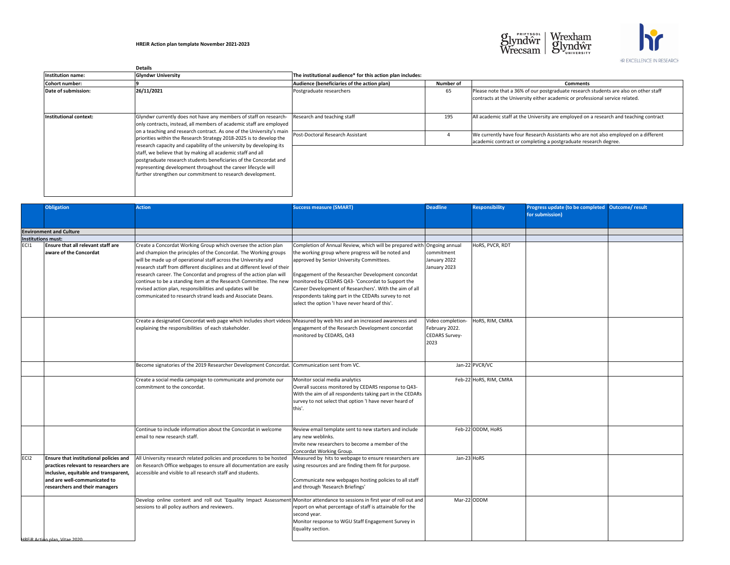|                        | <b>Details</b>                                                                                                                                                                                                                                                                                                                                                                                                                                                                         |                                                            |           |                                                                                                                                                                      |
|------------------------|----------------------------------------------------------------------------------------------------------------------------------------------------------------------------------------------------------------------------------------------------------------------------------------------------------------------------------------------------------------------------------------------------------------------------------------------------------------------------------------|------------------------------------------------------------|-----------|----------------------------------------------------------------------------------------------------------------------------------------------------------------------|
| Institution name:      | <b>Glyndwr University</b>                                                                                                                                                                                                                                                                                                                                                                                                                                                              | The institutional audience* for this action plan includes: |           |                                                                                                                                                                      |
| Cohort number:         |                                                                                                                                                                                                                                                                                                                                                                                                                                                                                        | Audience (beneficiaries of the action plan)                | Number of | <b>Comments</b>                                                                                                                                                      |
| Date of submission:    | 26/11/2021                                                                                                                                                                                                                                                                                                                                                                                                                                                                             | Postgraduate researchers                                   | 65        | Please note that a 36% of our postgraduate research students are also on other staff<br>contracts at the University either academic or professional service related. |
| Institutional context: | Glyndwr currently does not have any members of staff on research-<br>only contracts, instead, all members of academic staff are employed                                                                                                                                                                                                                                                                                                                                               | Research and teaching staff                                | 195       | All academic staff at the University are employed on a research and teaching contract                                                                                |
|                        | on a teaching and research contract. As one of the University's main<br>priorities within the Research Strategy 2018-2025 is to develop the<br>research capacity and capability of the university by developing its<br>staff, we believe that by making all academic staff and all<br>postgraduate research students beneficiaries of the Concordat and<br>representing development throughout the career lifecycle will<br>further strengthen our commitment to research development. | Post-Doctoral Research Assistant                           |           | We currently have four Research Assistants who are not also employed on a different<br>academic contract or completing a postgraduate research degree.               |

|                    | <b>Obligation</b>                                                                                                               | <b>Action</b>                                                                                                                                                                                            | <b>Success measure (SMART)</b>                                                                                                                                                                                           | <b>Deadline</b>                                                     | <b>Responsibility</b>  | Progress update (to be completed Outcome/result |  |
|--------------------|---------------------------------------------------------------------------------------------------------------------------------|----------------------------------------------------------------------------------------------------------------------------------------------------------------------------------------------------------|--------------------------------------------------------------------------------------------------------------------------------------------------------------------------------------------------------------------------|---------------------------------------------------------------------|------------------------|-------------------------------------------------|--|
|                    |                                                                                                                                 |                                                                                                                                                                                                          |                                                                                                                                                                                                                          |                                                                     |                        | for submission)                                 |  |
|                    |                                                                                                                                 |                                                                                                                                                                                                          |                                                                                                                                                                                                                          |                                                                     |                        |                                                 |  |
| Institutions must: | <b>Environment and Culture</b>                                                                                                  |                                                                                                                                                                                                          |                                                                                                                                                                                                                          |                                                                     |                        |                                                 |  |
| EC <sub>1</sub>    | <b>Ensure that all relevant staff are</b><br>aware of the Concordat                                                             | Create a Concordat Working Group which oversee the action plan<br>and champion the principles of the Concordat. The Working groups                                                                       | Completion of Annual Review, which will be prepared with Ongoing annual<br>the working group where progress will be noted and                                                                                            | commitment                                                          | HoRS, PVCR, RDT        |                                                 |  |
|                    |                                                                                                                                 | will be made up of operational staff across the University and<br>research staff from different disciplines and at different level of their                                                              | approved by Senior University Committees.                                                                                                                                                                                | January 2022<br>January 2023                                        |                        |                                                 |  |
|                    |                                                                                                                                 | research career. The Concordat and progress of the action plan will<br>continue to be a standing item at the Research Committee. The new<br>revised action plan, responsibilities and updates will be    | Engagement of the Researcher Development concordat<br>monitored by CEDARS Q43- 'Concordat to Support the<br>Career Development of Researchers'. With the aim of all                                                      |                                                                     |                        |                                                 |  |
|                    |                                                                                                                                 | communicated to research strand leads and Associate Deans.                                                                                                                                               | respondents taking part in the CEDARs survey to not<br>select the option 'I have never heard of this'.                                                                                                                   |                                                                     |                        |                                                 |  |
|                    |                                                                                                                                 | Create a designated Concordat web page which includes short videos Measured by web hits and an increased awareness and<br>explaining the responsibilities of each stakeholder.                           | engagement of the Research Development concordat<br>monitored by CEDARS, Q43                                                                                                                                             | Video completion<br>February 2022.<br><b>CEDARS Survey-</b><br>2023 | HoRS, RIM, CMRA        |                                                 |  |
|                    |                                                                                                                                 | Become signatories of the 2019 Researcher Development Concordat. Communication sent from VC.                                                                                                             |                                                                                                                                                                                                                          |                                                                     | Jan-22 PVCR/VC         |                                                 |  |
|                    |                                                                                                                                 | Create a social media campaign to communicate and promote our<br>commitment to the concordat.                                                                                                            | Monitor social media analytics<br>Overall success monitored by CEDARS response to Q43-<br>With the aim of all respondents taking part in the CEDARs<br>survey to not select that option 'I have never heard of<br>this'. |                                                                     | Feb-22 HoRS, RIM, CMRA |                                                 |  |
|                    |                                                                                                                                 | Continue to include information about the Concordat in welcome<br>email to new research staff.                                                                                                           | Review email template sent to new starters and include<br>any new weblinks.<br>Invite new researchers to become a member of the<br>Concordat Working Group.                                                              |                                                                     | Feb-22 ODDM, HoRS      |                                                 |  |
| ECI2               | <b>Ensure that institutional policies and</b><br>practices relevant to researchers are<br>inclusive, equitable and transparent, | All University research related policies and procedures to be hosted<br>on Research Office webpages to ensure all documentation are easily<br>accessible and visible to all research staff and students. | Measured by hits to webpage to ensure researchers are<br>using resources and are finding them fit for purpose.                                                                                                           | Jan-23 HoRS                                                         |                        |                                                 |  |
|                    | and are well-communicated to<br>researchers and their managers                                                                  |                                                                                                                                                                                                          | Communicate new webpages hosting policies to all staff<br>and through 'Research Briefings'                                                                                                                               |                                                                     |                        |                                                 |  |
|                    |                                                                                                                                 | Develop online content and roll out 'Equality Impact Assessment Monitor attendance to sessions in first year of roll out and<br>sessions to all policy authors and reviewers.                            | report on what percentage of staff is attainable for the<br>second year.<br>Monitor response to WGU Staff Engagement Survey in<br>Equality section.                                                                      | Mar-22ODDM                                                          |                        |                                                 |  |
|                    | <b>HREIR Action plan, Vitae 2020</b>                                                                                            |                                                                                                                                                                                                          |                                                                                                                                                                                                                          |                                                                     |                        |                                                 |  |



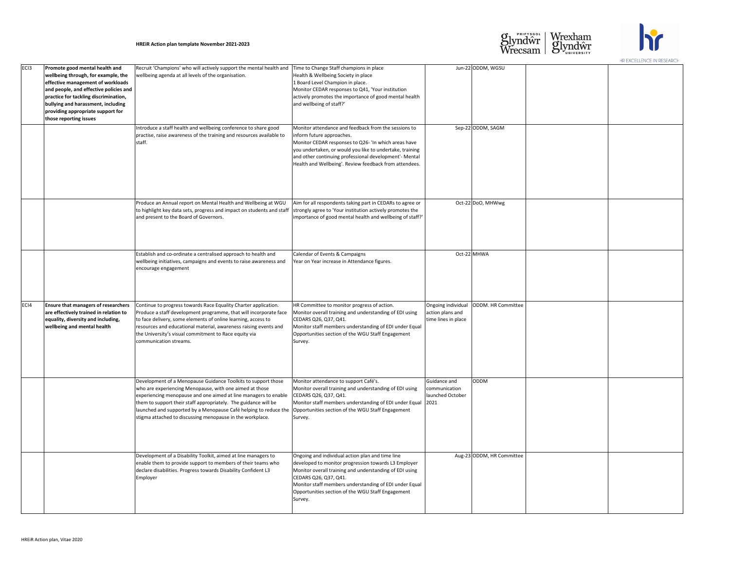|                  |                                                                                                                                                                                                                                                                                                           |                                                                                                                                                                                                                                                                                                                                                                                                 |                                                                                                                                                                                                                                                                                                                           |                                                   |                                         | HR LAULLLLIVUL IIV REJEARUE |
|------------------|-----------------------------------------------------------------------------------------------------------------------------------------------------------------------------------------------------------------------------------------------------------------------------------------------------------|-------------------------------------------------------------------------------------------------------------------------------------------------------------------------------------------------------------------------------------------------------------------------------------------------------------------------------------------------------------------------------------------------|---------------------------------------------------------------------------------------------------------------------------------------------------------------------------------------------------------------------------------------------------------------------------------------------------------------------------|---------------------------------------------------|-----------------------------------------|-----------------------------|
| EC <sub>13</sub> | <b>Promote good mental health and</b><br>wellbeing through, for example, the<br>effective management of workloads<br>and people, and effective policies and<br>practice for tackling discrimination,<br>bullying and harassment, including<br>providing appropriate support for<br>those reporting issues | Recruit 'Champions' who will actively support the mental health and<br>wellbeing agenda at all levels of the organisation.                                                                                                                                                                                                                                                                      | Time to Change Staff champions in place<br>Health & Wellbeing Society in place<br>1 Board Level Champion in place.<br>Monitor CEDAR responses to Q41, 'Your institution<br>actively promotes the importance of good mental health<br>and wellbeing of staff?'                                                             |                                                   | Jun-22 ODDM, WGSU                       |                             |
|                  |                                                                                                                                                                                                                                                                                                           | Introduce a staff health and wellbeing conference to share good<br>practise, raise awareness of the training and resources available to<br>staff.                                                                                                                                                                                                                                               | Monitor attendance and feedback from the sessions to<br>inform future approaches.<br>Monitor CEDAR responses to Q26- 'In which areas have<br>you undertaken, or would you like to undertake, training<br>and other continuing professional development'- Mental<br>Health and Wellbeing'. Review feedback from attendees. |                                                   | Sep-22 ODDM, SAGM                       |                             |
|                  |                                                                                                                                                                                                                                                                                                           | Produce an Annual report on Mental Health and Wellbeing at WGU<br>to highlight key data sets, progress and impact on students and staff<br>and present to the Board of Governors.                                                                                                                                                                                                               | Aim for all respondents taking part in CEDARs to agree or<br>strongly agree to 'Your institution actively promotes the<br>importance of good mental health and wellbeing of staff?'                                                                                                                                       |                                                   | Oct-22 DoO, MHWwg                       |                             |
|                  |                                                                                                                                                                                                                                                                                                           | Establish and co-ordinate a centralised approach to health and<br>wellbeing initiatives, campaigns and events to raise awareness and<br>encourage engagement                                                                                                                                                                                                                                    | Calendar of Events & Campaigns<br>Year on Year increase in Attendance figures.                                                                                                                                                                                                                                            |                                                   | Oct-22 MHWA                             |                             |
| ECI4             | <b>Ensure that managers of researchers</b><br>are effectively trained in relation to<br>equality, diversity and including,<br>wellbeing and mental health                                                                                                                                                 | Continue to progress towards Race Equality Charter application.<br>Produce a staff development programme, that will incorporate face<br>to face delivery, some elements of online learning, access to<br>resources and educational material, awareness raising events and<br>the University's visual commitment to Race equity via<br>communication streams.                                    | HR Committee to monitor progress of action.<br>Monitor overall training and understanding of EDI using<br>CEDARS Q26, Q37, Q41.<br>Monitor staff members understanding of EDI under Equal<br>Opportunities section of the WGU Staff Engagement<br>Survey.                                                                 | action plans and<br>time lines in place           | Ongoing individual   ODDM. HR Committee |                             |
|                  |                                                                                                                                                                                                                                                                                                           | Development of a Menopause Guidance Toolkits to support those<br>who are experiencing Menopause, with one aimed at those<br>experiencing menopause and one aimed at line managers to enable<br>them to support their staff appropriately. The guidance will be<br>launched and supported by a Menopause Café helping to reduce the<br>stigma attached to discussing menopause in the workplace. | Monitor attendance to support Café's.<br>Monitor overall training and understanding of EDI using<br>CEDARS Q26, Q37, Q41.<br>Monitor staff members understanding of EDI under Equal 2021<br>Opportunities section of the WGU Staff Engagement<br>Survey.                                                                  | Guidance and<br>communication<br>launched October | <b>ODDM</b>                             |                             |
|                  |                                                                                                                                                                                                                                                                                                           | Development of a Disability Toolkit, aimed at line managers to<br>enable them to provide support to members of their teams who<br>declare disabilities. Progress towards Disability Confident L3<br>Employer                                                                                                                                                                                    | Ongoing and individual action plan and time line<br>developed to monitor progression towards L3 Employer<br>Monitor overall training and understanding of EDI using<br>CEDARS Q26, Q37, Q41.<br>Monitor staff members understanding of EDI under Equal<br>Opportunities section of the WGU Staff Engagement<br>Survey.    |                                                   | Aug-23 ODDM, HR Committee               |                             |





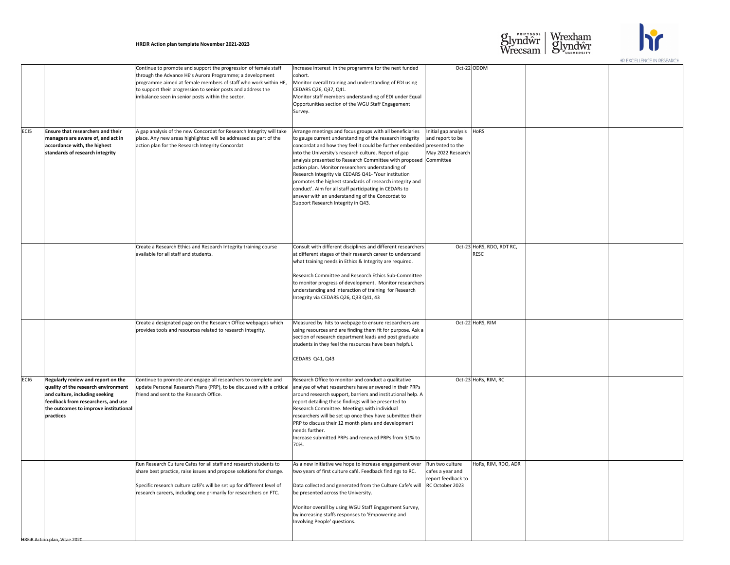|                  |                                                                                                                                                                                                                |                                                                                                                                                                                                                                                                                                                    |                                                                                                                                                                                                                                                                                                                                                                                                                                                                                                                                                                                                                                                                                                                              |                                          |  | TIK EAUELLEINUE IIN REJEARUN |
|------------------|----------------------------------------------------------------------------------------------------------------------------------------------------------------------------------------------------------------|--------------------------------------------------------------------------------------------------------------------------------------------------------------------------------------------------------------------------------------------------------------------------------------------------------------------|------------------------------------------------------------------------------------------------------------------------------------------------------------------------------------------------------------------------------------------------------------------------------------------------------------------------------------------------------------------------------------------------------------------------------------------------------------------------------------------------------------------------------------------------------------------------------------------------------------------------------------------------------------------------------------------------------------------------------|------------------------------------------|--|------------------------------|
|                  |                                                                                                                                                                                                                | Continue to promote and support the progression of female staff<br>through the Advance HE's Aurora Programme; a development<br>programme aimed at female members of staff who work within HE,<br>to support their progression to senior posts and address the<br>imbalance seen in senior posts within the sector. | Increase interest in the programme for the next funded<br>cohort.<br>Monitor overall training and understanding of EDI using<br>CEDARS Q26, Q37, Q41.<br>Monitor staff members understanding of EDI under Equal<br>Opportunities section of the WGU Staff Engagement<br>Survey.                                                                                                                                                                                                                                                                                                                                                                                                                                              | Oct-22 ODDM                              |  |                              |
| EC <sub>15</sub> | <b>Ensure that researchers and their</b><br>managers are aware of, and act in<br>accordance with, the highest<br>standards of research integrity                                                               | A gap analysis of the new Concordat for Research Integrity will take<br>place. Any new areas highlighted will be addressed as part of the<br>action plan for the Research Integrity Concordat                                                                                                                      | Arrange meetings and focus groups with all beneficiaries<br>Initial gap analysis<br>to gauge current understanding of the research integrity<br>and report to be<br>concordat and how they feel it could be further embedded presented to the<br>May 2022 Research<br>into the University's research culture. Report of gap<br>analysis presented to Research Committee with proposed Committee<br>action plan. Monitor researchers understanding of<br>Research Integrity via CEDARS Q41- 'Your institution<br>promotes the highest standards of research integrity and<br>conduct'. Aim for all staff participating in CEDARs to<br>answer with an understanding of the Concordat to<br>Support Research Integrity in Q43. | HoRS                                     |  |                              |
|                  |                                                                                                                                                                                                                |                                                                                                                                                                                                                                                                                                                    |                                                                                                                                                                                                                                                                                                                                                                                                                                                                                                                                                                                                                                                                                                                              |                                          |  |                              |
|                  |                                                                                                                                                                                                                | Create a Research Ethics and Research Integrity training course<br>available for all staff and students.                                                                                                                                                                                                           | Consult with different disciplines and different researchers<br>at different stages of their research career to understand<br>what training needs in Ethics & Integrity are required.                                                                                                                                                                                                                                                                                                                                                                                                                                                                                                                                        | Oct-23 HoRS, RDO, RDT RC,<br><b>RESC</b> |  |                              |
|                  |                                                                                                                                                                                                                |                                                                                                                                                                                                                                                                                                                    | Research Committee and Research Ethics Sub-Committee<br>to monitor progress of development. Monitor researchers<br>understanding and interaction of training for Research<br>Integrity via CEDARS Q26, Q33 Q41, 43                                                                                                                                                                                                                                                                                                                                                                                                                                                                                                           |                                          |  |                              |
|                  |                                                                                                                                                                                                                | Create a designated page on the Research Office webpages which<br>provides tools and resources related to research integrity.                                                                                                                                                                                      | Measured by hits to webpage to ensure researchers are<br>using resources and are finding them fit for purpose. Ask a<br>section of research department leads and post graduate<br>students in they feel the resources have been helpful.<br>CEDARS Q41, Q43                                                                                                                                                                                                                                                                                                                                                                                                                                                                  | Oct-22 HoRS, RIM                         |  |                              |
|                  |                                                                                                                                                                                                                |                                                                                                                                                                                                                                                                                                                    |                                                                                                                                                                                                                                                                                                                                                                                                                                                                                                                                                                                                                                                                                                                              |                                          |  |                              |
| EC <sub>16</sub> | <b>Regularly review and report on the</b><br>quality of the research environment<br>and culture, including seeking<br>feedback from researchers, and use<br>the outcomes to improve institutional<br>practices | Continue to promote and engage all researchers to complete and<br>update Personal Research Plans (PRP), to be discussed with a critical<br>friend and sent to the Research Office.                                                                                                                                 | Research Office to monitor and conduct a qualitative<br>analyse of what researchers have answered in their PRPs<br>around research support, barriers and institutional help. A<br>report detailing these findings will be presented to<br>Research Committee. Meetings with individual<br>researchers will be set up once they have submitted their<br>PRP to discuss their 12 month plans and development<br>needs further.<br>Increase submitted PRPs and renewed PRPs from 51% to<br>70%.                                                                                                                                                                                                                                 | Oct-23 HoRs, RIM, RC                     |  |                              |
|                  |                                                                                                                                                                                                                | Run Research Culture Cafes for all staff and research students to<br>share best practice, raise issues and propose solutions for change.<br>Specific research culture café's will be set up for different level of                                                                                                 | As a new initiative we hope to increase engagement over<br>Run two culture<br>two years of first culture café. Feedback findings to RC.<br>cafes a year and<br>report feedback to<br>RC October 2023<br>Data collected and generated from the Culture Cafe's will                                                                                                                                                                                                                                                                                                                                                                                                                                                            | HoRs, RIM, RDO, ADR                      |  |                              |
|                  |                                                                                                                                                                                                                | research careers, including one primarily for researchers on FTC.                                                                                                                                                                                                                                                  | be presented across the University.                                                                                                                                                                                                                                                                                                                                                                                                                                                                                                                                                                                                                                                                                          |                                          |  |                              |
|                  |                                                                                                                                                                                                                |                                                                                                                                                                                                                                                                                                                    | Monitor overall by using WGU Staff Engagement Survey,<br>by increasing staffs responses to 'Empowering and<br>Involving People' questions.                                                                                                                                                                                                                                                                                                                                                                                                                                                                                                                                                                                   |                                          |  |                              |
|                  | HREIR Action plan, Vitae 2020                                                                                                                                                                                  |                                                                                                                                                                                                                                                                                                                    |                                                                                                                                                                                                                                                                                                                                                                                                                                                                                                                                                                                                                                                                                                                              |                                          |  |                              |





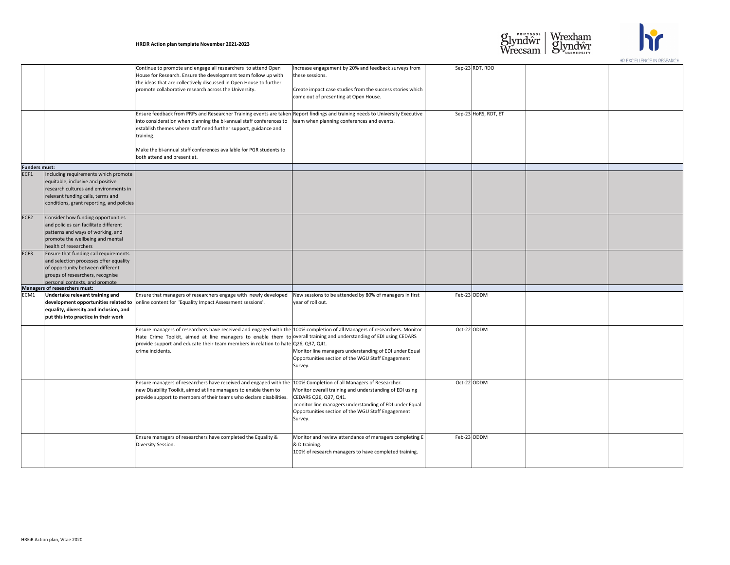|                      |                                                                                                                                                                                                      |                                                                                                                                                                                                                                                                                                                                                                                           |                                                                                                                                                                                                                                                              |                      | HR LAULLLEINUL IIN REULARUH |
|----------------------|------------------------------------------------------------------------------------------------------------------------------------------------------------------------------------------------------|-------------------------------------------------------------------------------------------------------------------------------------------------------------------------------------------------------------------------------------------------------------------------------------------------------------------------------------------------------------------------------------------|--------------------------------------------------------------------------------------------------------------------------------------------------------------------------------------------------------------------------------------------------------------|----------------------|-----------------------------|
|                      |                                                                                                                                                                                                      | Continue to promote and engage all researchers to attend Open<br>House for Research. Ensure the development team follow up with<br>the ideas that are collectively discussed in Open House to further<br>promote collaborative research across the University.                                                                                                                            | Increase engagement by 20% and feedback surveys from<br>these sessions.<br>Create impact case studies from the success stories which<br>come out of presenting at Open House.                                                                                | Sep-23 RDT, RDO      |                             |
|                      |                                                                                                                                                                                                      | Ensure feedback from PRPs and Researcher Training events are taken Report findings and training needs to University Executive<br>into consideration when planning the bi-annual staff conferences to<br>establish themes where staff need further support, guidance and<br>training.<br>Make the bi-annual staff conferences available for PGR students to<br>both attend and present at. | team when planning conferences and events.                                                                                                                                                                                                                   | Sep-23 HoRS, RDT, ET |                             |
| <b>Funders must:</b> |                                                                                                                                                                                                      |                                                                                                                                                                                                                                                                                                                                                                                           |                                                                                                                                                                                                                                                              |                      |                             |
| ECF1                 | Including requirements which promote<br>equitable, inclusive and positive<br>research cultures and environments in<br>relevant funding calls, terms and<br>conditions, grant reporting, and policies |                                                                                                                                                                                                                                                                                                                                                                                           |                                                                                                                                                                                                                                                              |                      |                             |
| ECF <sub>2</sub>     | Consider how funding opportunities<br>and policies can facilitate different<br>patterns and ways of working, and<br>promote the wellbeing and mental<br>health of researchers                        |                                                                                                                                                                                                                                                                                                                                                                                           |                                                                                                                                                                                                                                                              |                      |                             |
| ECF3                 | Ensure that funding call requirements<br>and selection processes offer equality<br>of opportunity between different<br>groups of researchers, recognise<br>personal contexts, and promote            |                                                                                                                                                                                                                                                                                                                                                                                           |                                                                                                                                                                                                                                                              |                      |                             |
|                      | Managers of researchers must:                                                                                                                                                                        |                                                                                                                                                                                                                                                                                                                                                                                           |                                                                                                                                                                                                                                                              |                      |                             |
| ECM1                 | Undertake relevant training and<br>equality, diversity and inclusion, and<br>put this into practice in their work                                                                                    | Ensure that managers of researchers engage with newly developed<br>development opportunities related to online content for 'Equality Impact Assessment sessions'.                                                                                                                                                                                                                         | New sessions to be attended by 80% of managers in first<br>year of roll out.                                                                                                                                                                                 | Feb-23 ODDM          |                             |
|                      |                                                                                                                                                                                                      | Ensure managers of researchers have received and engaged with the 100% completion of all Managers of researchers. Monitor<br>Hate Crime Toolkit, aimed at line managers to enable them to overall training and understanding of EDI using CEDARS<br>provide support and educate their team members in relation to hate $Q26$ , $Q37$ , $Q41$ .<br>crime incidents.                        | Monitor line managers understanding of EDI under Equal<br>Opportunities section of the WGU Staff Engagement<br>Survey.                                                                                                                                       | Oct-22 ODDM          |                             |
|                      |                                                                                                                                                                                                      | Ensure managers of researchers have received and engaged with the<br>new Disability Toolkit, aimed at line managers to enable them to<br>provide support to members of their teams who declare disabilities.                                                                                                                                                                              | 100% Completion of all Managers of Researcher.<br>Monitor overall training and understanding of EDI using<br>CEDARS Q26, Q37, Q41.<br>monitor line managers understanding of EDI under Equal<br>Opportunities section of the WGU Staff Engagement<br>Survey. | Oct-22 ODDM          |                             |
|                      |                                                                                                                                                                                                      | Ensure managers of researchers have completed the Equality &<br>Diversity Session.                                                                                                                                                                                                                                                                                                        | Monitor and review attendance of managers completing E<br>& D training.<br>100% of research managers to have completed training.                                                                                                                             | Feb-23 ODDM          |                             |





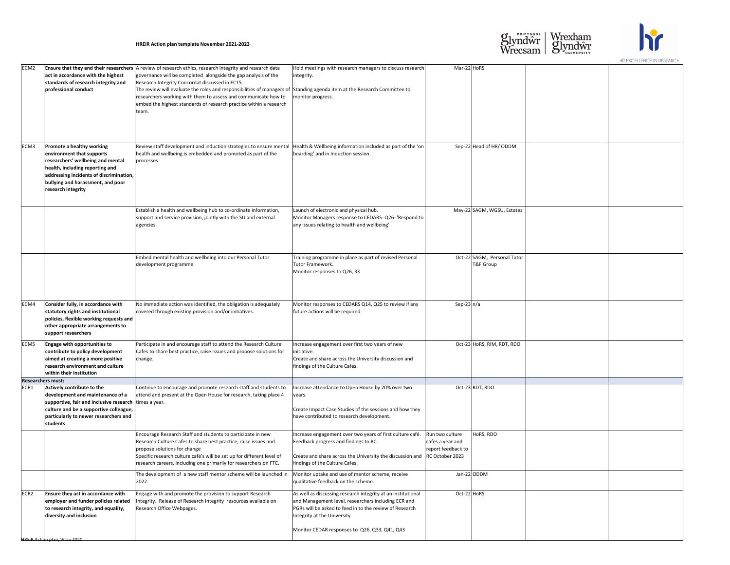|                                  |                                                                                                                                                                                                                                             |                                                                                                                                                                                                                                                                                                                                                                                                                                                                                                              |                                                                                                                                                                                                                    |                                                                        | HR EAUELLEINUE IIN RESEARUH |
|----------------------------------|---------------------------------------------------------------------------------------------------------------------------------------------------------------------------------------------------------------------------------------------|--------------------------------------------------------------------------------------------------------------------------------------------------------------------------------------------------------------------------------------------------------------------------------------------------------------------------------------------------------------------------------------------------------------------------------------------------------------------------------------------------------------|--------------------------------------------------------------------------------------------------------------------------------------------------------------------------------------------------------------------|------------------------------------------------------------------------|-----------------------------|
| ECM <sub>2</sub>                 | act in accordance with the highest<br>standards of research integrity and<br>professional conduct                                                                                                                                           | Ensure that they and their researchers   A review of research ethics, research integrity and research data<br>governance will be completed alongside the gap analysis of the<br>Research Integrity Concordat discussed in EC15.<br>The review will evaluate the roles and responsibilities of managers of Standing agenda item at the Research Committee to<br>researchers working with them to assess and communicate how to<br>embed the highest standards of research practice within a research<br>team. | Hold meetings with research managers to discuss research<br>integrity.<br>monitor progress.                                                                                                                        | $Mar-22$ HoRS                                                          |                             |
| ECM <sub>3</sub>                 | <b>Promote a healthy working</b><br>environment that supports<br>researchers' wellbeing and mental<br>health, including reporting and<br>addressing incidents of discrimination,<br>bullying and harassment, and poor<br>research integrity | Review staff development and induction strategies to ensure mental<br>health and wellbeing is embedded and promoted as part of the<br>processes.                                                                                                                                                                                                                                                                                                                                                             | Health & Wellbeing information included as part of the 'on<br>boarding' and in Induction session.                                                                                                                  | Sep-22 Head of HR/ODDM                                                 |                             |
|                                  |                                                                                                                                                                                                                                             | Establish a health and wellbeing hub to co-ordinate information,<br>support and service provision, jointly with the SU and external<br>agencies.                                                                                                                                                                                                                                                                                                                                                             | Launch of electronic and physical hub.<br>Monitor Managers response to CEDARS-Q26- 'Respond to<br>any issues relating to health and wellbeing'                                                                     | May-22 SAGM, WGSU, Estates                                             |                             |
|                                  |                                                                                                                                                                                                                                             | Embed mental health and wellbeing into our Personal Tutor<br>development programme                                                                                                                                                                                                                                                                                                                                                                                                                           | Training programme in place as part of revised Personal<br>Tutor Framework.<br>Monitor responses to Q26, 33                                                                                                        | Oct-22 SAGM, Personal Tutor<br><b>T&amp;F Group</b>                    |                             |
| ECM4                             | Consider fully, in accordance with<br>statutory rights and institutional<br>policies, flexible working requests and<br>other appropriate arrangements to<br>support researchers                                                             | No immediate action was identified, the obligation is adequately<br>covered through existing provision and/or initiatives.                                                                                                                                                                                                                                                                                                                                                                                   | Monitor responses to CEDARS Q14, Q25 to review if any<br>future actions will be required.                                                                                                                          | Sep-23 $n/a$                                                           |                             |
| ECM5                             | <b>Engage with opportunities to</b><br>contribute to policy development<br>aimed at creating a more positive<br>research environment and culture<br>within their institution                                                                | Participate in and encourage staff to attend the Research Culture<br>Cafes to share best practice, raise issues and propose solutions for<br>change.                                                                                                                                                                                                                                                                                                                                                         | Increase engagement over first two years of new<br>initiative.<br>Create and share across the University discussion and<br>findings of the Culture Cafes.                                                          | Oct-23 HoRS, RIM, RDT, RDO                                             |                             |
| <b>Researchers must:</b><br>ECR1 | Actively contribute to the<br>development and maintenance of a<br>supportive, fair and inclusive research times a year.<br>culture and be a supportive colleague,<br>particularly to newer researchers and<br>students                      | Continue to encourage and promote research staff and students to<br>attend and present at the Open House for research, taking place 4                                                                                                                                                                                                                                                                                                                                                                        | Increase attendance to Open House by 20% over two<br>years.<br>Create Impact Case Studies of the sessions and how they<br>have contributed to research development.                                                | Oct-23 RDT, RDO                                                        |                             |
|                                  |                                                                                                                                                                                                                                             | Encourage Research Staff and students to participate in new<br>Research Culture Cafes to share best practice, raise issues and<br>propose solutions for change<br>Specific research culture café's will be set up for different level of<br>research careers, including one primarily for researchers on FTC.                                                                                                                                                                                                | Increase engagement over two years of first culture café.<br>Feedback progress and findings to RC.<br>Create and share across the University the discussion and  RC October 2023<br>findings of the Culture Cafes. | HoRS, RDO<br>Run two culture<br>cafes a year and<br>report feedback to |                             |
|                                  |                                                                                                                                                                                                                                             | The development of a new staff mentor scheme will be launched in<br>2022.                                                                                                                                                                                                                                                                                                                                                                                                                                    | Monitor uptake and use of mentor scheme, receive<br>qualitative feedback on the scheme.                                                                                                                            | Jan-22 ODDM                                                            |                             |
| ECR <sub>2</sub>                 | <b>Ensure they act in accordance with</b><br>employer and funder policies related<br>to research integrity, and equality,<br>diversity and inclusion                                                                                        | Engage with and promote the provision to support Research<br>Integrity. Release of Research Integrity resources available on<br>Research Office Webpages.                                                                                                                                                                                                                                                                                                                                                    | As well as discussing research integrity at an institutional<br>and Management level, researchers including ECR and<br>PGRs will be asked to feed in to the review of Research<br>Integrity at the University.     | Oct-22 HoRS                                                            |                             |
|                                  | HREIR Action plan, Vitae 2020                                                                                                                                                                                                               |                                                                                                                                                                                                                                                                                                                                                                                                                                                                                                              | Monitor CEDAR responses to Q26, Q33, Q41, Q43                                                                                                                                                                      |                                                                        |                             |





HD EXCELLENCE IN DESEADCH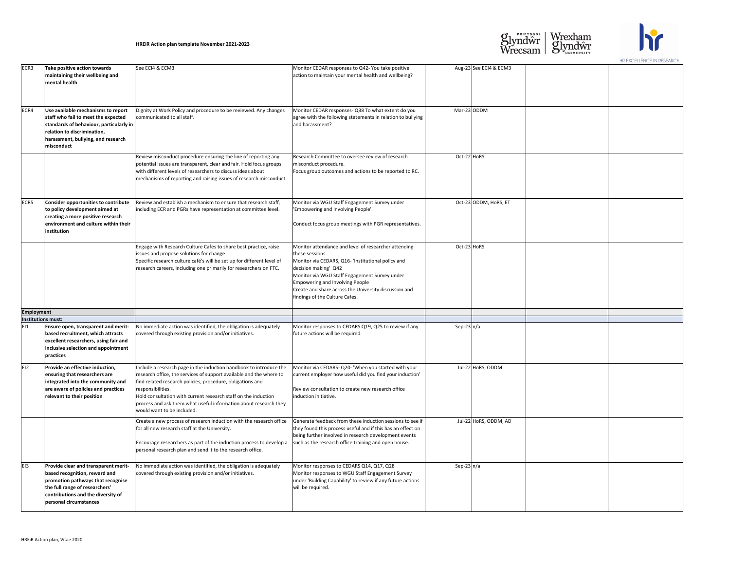| ECR3              | Take positive action towards<br>maintaining their wellbeing and<br>mental health                                                                                                                             | See ECI4 & ECM3                                                                                                                                                                                                                                                                                                                                                                                  | Monitor CEDAR responses to Q42- You take positive<br>action to maintain your mental health and wellbeing?                                                                                                                                                                                                                                   |
|-------------------|--------------------------------------------------------------------------------------------------------------------------------------------------------------------------------------------------------------|--------------------------------------------------------------------------------------------------------------------------------------------------------------------------------------------------------------------------------------------------------------------------------------------------------------------------------------------------------------------------------------------------|---------------------------------------------------------------------------------------------------------------------------------------------------------------------------------------------------------------------------------------------------------------------------------------------------------------------------------------------|
| ECR4              | Use available mechanisms to report<br>staff who fail to meet the expected<br>standards of behaviour, particularly in<br>relation to discrimination,<br>harassment, bullying, and research<br>misconduct      | Dignity at Work Policy and procedure to be reviewed. Any changes<br>communicated to all staff.                                                                                                                                                                                                                                                                                                   | Monitor CEDAR responses- Q38 To what extent do you<br>agree with the following statements in relation to bullying<br>and harassment?                                                                                                                                                                                                        |
|                   |                                                                                                                                                                                                              | Review misconduct procedure ensuring the line of reporting any<br>potential issues are transparent, clear and fair. Hold focus groups<br>with different levels of researchers to discuss ideas about<br>mechanisms of reporting and raising issues of research misconduct.                                                                                                                       | Research Committee to oversee review of research<br>misconduct procedure.<br>Focus group outcomes and actions to be reported to RC.                                                                                                                                                                                                         |
| ECR5              | <b>Consider opportunities to contribute</b><br>to policy development aimed at<br>creating a more positive research<br>environment and culture within their<br>institution                                    | Review and establish a mechanism to ensure that research staff,<br>including ECR and PGRs have representation at committee level.                                                                                                                                                                                                                                                                | Monitor via WGU Staff Engagement Survey under<br>'Empowering and Involving People'.<br>Conduct focus group meetings with PGR representatives.                                                                                                                                                                                               |
|                   |                                                                                                                                                                                                              | Engage with Research Culture Cafes to share best practice, raise<br>issues and propose solutions for change<br>Specific research culture café's will be set up for different level of<br>research careers, including one primarily for researchers on FTC.                                                                                                                                       | Monitor attendance and level of researcher attending<br>these sessions.<br>Monitor via CEDARS, Q16- 'Institutional policy and<br>decision making' Q42<br>Monitor via WGU Staff Engagement Survey under<br><b>Empowering and Involving People</b><br>Create and share across the University discussion and<br>findings of the Culture Cafes. |
| <b>Employment</b> |                                                                                                                                                                                                              |                                                                                                                                                                                                                                                                                                                                                                                                  |                                                                                                                                                                                                                                                                                                                                             |
|                   | <b>Institutions must:</b>                                                                                                                                                                                    |                                                                                                                                                                                                                                                                                                                                                                                                  |                                                                                                                                                                                                                                                                                                                                             |
| E11               | <b>Ensure open, transparent and merit-</b><br>based recruitment, which attracts<br>excellent researchers, using fair and<br>inclusive selection and appointment<br>practices                                 | No immediate action was identified, the obligation is adequately<br>covered through existing provision and/or initiatives.                                                                                                                                                                                                                                                                       | Monitor responses to CEDARS Q19, Q25 to review if any<br>future actions will be required.                                                                                                                                                                                                                                                   |
| EI <sub>2</sub>   | Provide an effective induction,<br>ensuring that researchers are<br>integrated into the community and<br>are aware of policies and practices<br>relevant to their position                                   | Include a research page in the induction handbook to introduce the<br>research office, the services of support available and the where to<br>find related research policies, procedure, obligations and<br>responsibilities.<br>Hold consultation with current research staff on the induction<br>process and ask them what useful information about research they<br>would want to be included. | Monitor via CEDARS-Q20- 'When you started with your<br>current employer how useful did you find your induction'<br>Review consultation to create new research office<br>induction initiative.                                                                                                                                               |
|                   |                                                                                                                                                                                                              | Create a new process of research induction with the research office<br>for all new research staff at the University.<br>Encourage researchers as part of the induction process to develop a<br>personal research plan and send it to the research office.                                                                                                                                        | Generate feedback from these induction sessions to see if<br>they found this process useful and if this has an effect on<br>being further involved in research development events<br>such as the research office training and open house.                                                                                                   |
| E <sub>13</sub>   | Provide clear and transparent merit-<br>based recognition, reward and<br>promotion pathways that recognise<br>the full range of researchers'<br>contributions and the diversity of<br>personal circumstances | No immediate action was identified, the obligation is adequately<br>covered through existing provision and/or initiatives.                                                                                                                                                                                                                                                                       | Monitor responses to CEDARS Q14, Q17, Q28<br>Monitor responses to WGU Staff Engagement Survey<br>under 'Building Capability' to review if any future actions<br>will be required.                                                                                                                                                           |

| ?                          |              | Aug-23 See ECI4 & ECM3 |  |
|----------------------------|--------------|------------------------|--|
| ou<br>llying               |              | $Mar-23$ ODDM          |  |
| RC.                        | Oct-22 HoRS  |                        |  |
| ives.                      |              | Oct-23 ODDM, HoRS, ET  |  |
| g<br>d                     | Oct-23 HoRS  |                        |  |
|                            |              |                        |  |
| any                        | $Sep-23n/a$  |                        |  |
| bur<br>tion'               |              | Jul-22 HoRS, ODDM      |  |
| see if $ $<br>t on:<br>ıts |              | Jul-22 HoRS, ODDM, AD  |  |
| ions                       | Sep-23 $n/a$ |                        |  |





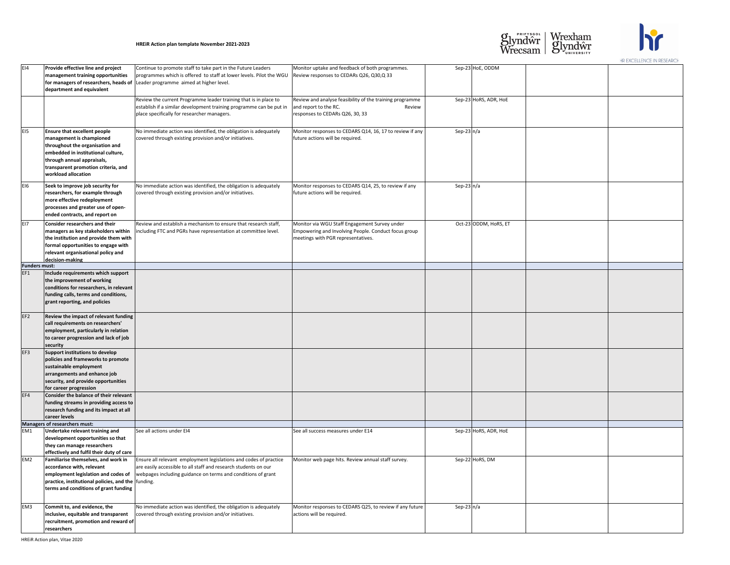| Sep-23 HoE, ODDM<br>E <sub>14</sub><br>Provide effective line and project<br>Continue to promote staff to take part in the Future Leaders<br>Monitor uptake and feedback of both programmes.<br>programmes which is offered to staff at lower levels. Pilot the WGU<br>Review responses to CEDARs Q26, Q30, Q33<br>management training opportunities<br>for managers of researchers, heads of Leader programme aimed at higher level.<br>department and equivalent<br>Sep-23 HoRS, ADR, HoE<br>Review the current Programme leader training that is in place to<br>Review and analyse feasibility of the training programme<br>establish if a similar development training programme can be put in<br>and report to the RC.<br>Review<br>place specifically for researcher managers.<br>responses to CEDARs Q26, 30, 33<br>E <sub>I5</sub><br>Sep-23 $n/a$<br><b>Ensure that excellent people</b><br>No immediate action was identified, the obligation is adequately<br>Monitor responses to CEDARS Q14, 16, 17 to review if any  <br>management is championed<br>covered through existing provision and/or initiatives.<br>future actions will be required.<br>throughout the organisation and<br>embedded in institutional culture,<br>through annual appraisals,<br>transparent promotion criteria, and<br>workload allocation<br>Sep-23 $n/a$<br>EI6<br>No immediate action was identified, the obligation is adequately<br>Seek to improve job security for<br>Monitor responses to CEDARS Q14, 25, to review if any<br>researchers, for example through<br>covered through existing provision and/or initiatives.<br>future actions will be required.<br>more effective redeployment<br>processes and greater use of open-<br>ended contracts, and report on<br>Oct-23 ODDM, HoRS, ET<br>EI7<br><b>Consider researchers and their</b><br>Review and establish a mechanism to ensure that research staff,<br>Monitor via WGU Staff Engagement Survey under<br>Empowering and Involving People. Conduct focus group<br>including FTC and PGRs have representation at committee level.<br>managers as key stakeholders within<br>the institution and provide them with<br>meetings with PGR representatives.<br>formal opportunities to engage with<br>relevant organisational policy and<br>decision-making<br><b>Funders must:</b><br>EF1<br>Include requirements which support<br>the improvement of working<br>conditions for researchers, in relevant<br>funding calls, terms and conditions,<br>grant reporting, and policies<br>EF <sub>2</sub><br>Review the impact of relevant funding<br>call requirements on researchers'<br>employment, particularly in relation<br>to career progression and lack of job<br>security<br>EF3<br>Support institutions to develop<br>policies and frameworks to promote<br>sustainable employment<br>arrangements and enhance job<br>security, and provide opportunities<br>for career progression<br>EF4<br>Consider the balance of their relevant<br>funding streams in providing access to<br>research funding and its impact at all<br>career levels<br>Managers of researchers must:<br>Sep-23 HoRS, ADR, HoE<br>Undertake relevant training and<br>See all actions under EI4<br>EM1<br>See all success measures under E14<br>development opportunities so that<br>they can manage researchers<br>effectively and fulfil their duty of care<br>Sep-22 HoRS, DM<br>EM <sub>2</sub><br>Ensure all relevant employment legislations and codes of practice<br>Monitor web page hits. Review annual staff survey.<br>Familiarise themselves, and work in<br>are easily accessible to all staff and research students on our<br>accordance with, relevant<br>employment legislation and codes of $\vert$ webpages including guidance on terms and conditions of grant<br>practice, institutional policies, and the  funding.<br>terms and conditions of grant funding<br>EM <sub>3</sub><br>Sep-23 $n/a$<br>Commit to, and evidence, the<br>No immediate action was identified, the obligation is adequately<br>Monitor responses to CEDARS Q25, to review if any future<br>inclusive, equitable and transparent<br>covered through existing provision and/or initiatives.<br>actions will be required.<br>recruitment, promotion and reward of<br>researchers |  |  |  |  |
|-------------------------------------------------------------------------------------------------------------------------------------------------------------------------------------------------------------------------------------------------------------------------------------------------------------------------------------------------------------------------------------------------------------------------------------------------------------------------------------------------------------------------------------------------------------------------------------------------------------------------------------------------------------------------------------------------------------------------------------------------------------------------------------------------------------------------------------------------------------------------------------------------------------------------------------------------------------------------------------------------------------------------------------------------------------------------------------------------------------------------------------------------------------------------------------------------------------------------------------------------------------------------------------------------------------------------------------------------------------------------------------------------------------------------------------------------------------------------------------------------------------------------------------------------------------------------------------------------------------------------------------------------------------------------------------------------------------------------------------------------------------------------------------------------------------------------------------------------------------------------------------------------------------------------------------------------------------------------------------------------------------------------------------------------------------------------------------------------------------------------------------------------------------------------------------------------------------------------------------------------------------------------------------------------------------------------------------------------------------------------------------------------------------------------------------------------------------------------------------------------------------------------------------------------------------------------------------------------------------------------------------------------------------------------------------------------------------------------------------------------------------------------------------------------------------------------------------------------------------------------------------------------------------------------------------------------------------------------------------------------------------------------------------------------------------------------------------------------------------------------------------------------------------------------------------------------------------------------------------------------------------------------------------------------------------------------------------------------------------------------------------------------------------------------------------------------------------------------------------------------------------------------------------------------------------------------------------------------------------------------------------------------------------------------------------------------------------------------------------------------------------------------------------------------------------------------------------------------------------------------------------------------------------------------------------------------------------------------------------------------------------------------------------------------------------------------------------------------------------------------------------------------------------------------------------------------------------------------------------------------------------------------------------------------------------|--|--|--|--|
|                                                                                                                                                                                                                                                                                                                                                                                                                                                                                                                                                                                                                                                                                                                                                                                                                                                                                                                                                                                                                                                                                                                                                                                                                                                                                                                                                                                                                                                                                                                                                                                                                                                                                                                                                                                                                                                                                                                                                                                                                                                                                                                                                                                                                                                                                                                                                                                                                                                                                                                                                                                                                                                                                                                                                                                                                                                                                                                                                                                                                                                                                                                                                                                                                                                                                                                                                                                                                                                                                                                                                                                                                                                                                                                                                                                                                                                                                                                                                                                                                                                                                                                                                                                                                                                                                                             |  |  |  |  |
|                                                                                                                                                                                                                                                                                                                                                                                                                                                                                                                                                                                                                                                                                                                                                                                                                                                                                                                                                                                                                                                                                                                                                                                                                                                                                                                                                                                                                                                                                                                                                                                                                                                                                                                                                                                                                                                                                                                                                                                                                                                                                                                                                                                                                                                                                                                                                                                                                                                                                                                                                                                                                                                                                                                                                                                                                                                                                                                                                                                                                                                                                                                                                                                                                                                                                                                                                                                                                                                                                                                                                                                                                                                                                                                                                                                                                                                                                                                                                                                                                                                                                                                                                                                                                                                                                                             |  |  |  |  |
|                                                                                                                                                                                                                                                                                                                                                                                                                                                                                                                                                                                                                                                                                                                                                                                                                                                                                                                                                                                                                                                                                                                                                                                                                                                                                                                                                                                                                                                                                                                                                                                                                                                                                                                                                                                                                                                                                                                                                                                                                                                                                                                                                                                                                                                                                                                                                                                                                                                                                                                                                                                                                                                                                                                                                                                                                                                                                                                                                                                                                                                                                                                                                                                                                                                                                                                                                                                                                                                                                                                                                                                                                                                                                                                                                                                                                                                                                                                                                                                                                                                                                                                                                                                                                                                                                                             |  |  |  |  |
|                                                                                                                                                                                                                                                                                                                                                                                                                                                                                                                                                                                                                                                                                                                                                                                                                                                                                                                                                                                                                                                                                                                                                                                                                                                                                                                                                                                                                                                                                                                                                                                                                                                                                                                                                                                                                                                                                                                                                                                                                                                                                                                                                                                                                                                                                                                                                                                                                                                                                                                                                                                                                                                                                                                                                                                                                                                                                                                                                                                                                                                                                                                                                                                                                                                                                                                                                                                                                                                                                                                                                                                                                                                                                                                                                                                                                                                                                                                                                                                                                                                                                                                                                                                                                                                                                                             |  |  |  |  |
|                                                                                                                                                                                                                                                                                                                                                                                                                                                                                                                                                                                                                                                                                                                                                                                                                                                                                                                                                                                                                                                                                                                                                                                                                                                                                                                                                                                                                                                                                                                                                                                                                                                                                                                                                                                                                                                                                                                                                                                                                                                                                                                                                                                                                                                                                                                                                                                                                                                                                                                                                                                                                                                                                                                                                                                                                                                                                                                                                                                                                                                                                                                                                                                                                                                                                                                                                                                                                                                                                                                                                                                                                                                                                                                                                                                                                                                                                                                                                                                                                                                                                                                                                                                                                                                                                                             |  |  |  |  |
|                                                                                                                                                                                                                                                                                                                                                                                                                                                                                                                                                                                                                                                                                                                                                                                                                                                                                                                                                                                                                                                                                                                                                                                                                                                                                                                                                                                                                                                                                                                                                                                                                                                                                                                                                                                                                                                                                                                                                                                                                                                                                                                                                                                                                                                                                                                                                                                                                                                                                                                                                                                                                                                                                                                                                                                                                                                                                                                                                                                                                                                                                                                                                                                                                                                                                                                                                                                                                                                                                                                                                                                                                                                                                                                                                                                                                                                                                                                                                                                                                                                                                                                                                                                                                                                                                                             |  |  |  |  |
|                                                                                                                                                                                                                                                                                                                                                                                                                                                                                                                                                                                                                                                                                                                                                                                                                                                                                                                                                                                                                                                                                                                                                                                                                                                                                                                                                                                                                                                                                                                                                                                                                                                                                                                                                                                                                                                                                                                                                                                                                                                                                                                                                                                                                                                                                                                                                                                                                                                                                                                                                                                                                                                                                                                                                                                                                                                                                                                                                                                                                                                                                                                                                                                                                                                                                                                                                                                                                                                                                                                                                                                                                                                                                                                                                                                                                                                                                                                                                                                                                                                                                                                                                                                                                                                                                                             |  |  |  |  |
|                                                                                                                                                                                                                                                                                                                                                                                                                                                                                                                                                                                                                                                                                                                                                                                                                                                                                                                                                                                                                                                                                                                                                                                                                                                                                                                                                                                                                                                                                                                                                                                                                                                                                                                                                                                                                                                                                                                                                                                                                                                                                                                                                                                                                                                                                                                                                                                                                                                                                                                                                                                                                                                                                                                                                                                                                                                                                                                                                                                                                                                                                                                                                                                                                                                                                                                                                                                                                                                                                                                                                                                                                                                                                                                                                                                                                                                                                                                                                                                                                                                                                                                                                                                                                                                                                                             |  |  |  |  |
|                                                                                                                                                                                                                                                                                                                                                                                                                                                                                                                                                                                                                                                                                                                                                                                                                                                                                                                                                                                                                                                                                                                                                                                                                                                                                                                                                                                                                                                                                                                                                                                                                                                                                                                                                                                                                                                                                                                                                                                                                                                                                                                                                                                                                                                                                                                                                                                                                                                                                                                                                                                                                                                                                                                                                                                                                                                                                                                                                                                                                                                                                                                                                                                                                                                                                                                                                                                                                                                                                                                                                                                                                                                                                                                                                                                                                                                                                                                                                                                                                                                                                                                                                                                                                                                                                                             |  |  |  |  |
|                                                                                                                                                                                                                                                                                                                                                                                                                                                                                                                                                                                                                                                                                                                                                                                                                                                                                                                                                                                                                                                                                                                                                                                                                                                                                                                                                                                                                                                                                                                                                                                                                                                                                                                                                                                                                                                                                                                                                                                                                                                                                                                                                                                                                                                                                                                                                                                                                                                                                                                                                                                                                                                                                                                                                                                                                                                                                                                                                                                                                                                                                                                                                                                                                                                                                                                                                                                                                                                                                                                                                                                                                                                                                                                                                                                                                                                                                                                                                                                                                                                                                                                                                                                                                                                                                                             |  |  |  |  |
|                                                                                                                                                                                                                                                                                                                                                                                                                                                                                                                                                                                                                                                                                                                                                                                                                                                                                                                                                                                                                                                                                                                                                                                                                                                                                                                                                                                                                                                                                                                                                                                                                                                                                                                                                                                                                                                                                                                                                                                                                                                                                                                                                                                                                                                                                                                                                                                                                                                                                                                                                                                                                                                                                                                                                                                                                                                                                                                                                                                                                                                                                                                                                                                                                                                                                                                                                                                                                                                                                                                                                                                                                                                                                                                                                                                                                                                                                                                                                                                                                                                                                                                                                                                                                                                                                                             |  |  |  |  |
|                                                                                                                                                                                                                                                                                                                                                                                                                                                                                                                                                                                                                                                                                                                                                                                                                                                                                                                                                                                                                                                                                                                                                                                                                                                                                                                                                                                                                                                                                                                                                                                                                                                                                                                                                                                                                                                                                                                                                                                                                                                                                                                                                                                                                                                                                                                                                                                                                                                                                                                                                                                                                                                                                                                                                                                                                                                                                                                                                                                                                                                                                                                                                                                                                                                                                                                                                                                                                                                                                                                                                                                                                                                                                                                                                                                                                                                                                                                                                                                                                                                                                                                                                                                                                                                                                                             |  |  |  |  |
|                                                                                                                                                                                                                                                                                                                                                                                                                                                                                                                                                                                                                                                                                                                                                                                                                                                                                                                                                                                                                                                                                                                                                                                                                                                                                                                                                                                                                                                                                                                                                                                                                                                                                                                                                                                                                                                                                                                                                                                                                                                                                                                                                                                                                                                                                                                                                                                                                                                                                                                                                                                                                                                                                                                                                                                                                                                                                                                                                                                                                                                                                                                                                                                                                                                                                                                                                                                                                                                                                                                                                                                                                                                                                                                                                                                                                                                                                                                                                                                                                                                                                                                                                                                                                                                                                                             |  |  |  |  |
|                                                                                                                                                                                                                                                                                                                                                                                                                                                                                                                                                                                                                                                                                                                                                                                                                                                                                                                                                                                                                                                                                                                                                                                                                                                                                                                                                                                                                                                                                                                                                                                                                                                                                                                                                                                                                                                                                                                                                                                                                                                                                                                                                                                                                                                                                                                                                                                                                                                                                                                                                                                                                                                                                                                                                                                                                                                                                                                                                                                                                                                                                                                                                                                                                                                                                                                                                                                                                                                                                                                                                                                                                                                                                                                                                                                                                                                                                                                                                                                                                                                                                                                                                                                                                                                                                                             |  |  |  |  |
|                                                                                                                                                                                                                                                                                                                                                                                                                                                                                                                                                                                                                                                                                                                                                                                                                                                                                                                                                                                                                                                                                                                                                                                                                                                                                                                                                                                                                                                                                                                                                                                                                                                                                                                                                                                                                                                                                                                                                                                                                                                                                                                                                                                                                                                                                                                                                                                                                                                                                                                                                                                                                                                                                                                                                                                                                                                                                                                                                                                                                                                                                                                                                                                                                                                                                                                                                                                                                                                                                                                                                                                                                                                                                                                                                                                                                                                                                                                                                                                                                                                                                                                                                                                                                                                                                                             |  |  |  |  |
|                                                                                                                                                                                                                                                                                                                                                                                                                                                                                                                                                                                                                                                                                                                                                                                                                                                                                                                                                                                                                                                                                                                                                                                                                                                                                                                                                                                                                                                                                                                                                                                                                                                                                                                                                                                                                                                                                                                                                                                                                                                                                                                                                                                                                                                                                                                                                                                                                                                                                                                                                                                                                                                                                                                                                                                                                                                                                                                                                                                                                                                                                                                                                                                                                                                                                                                                                                                                                                                                                                                                                                                                                                                                                                                                                                                                                                                                                                                                                                                                                                                                                                                                                                                                                                                                                                             |  |  |  |  |
|                                                                                                                                                                                                                                                                                                                                                                                                                                                                                                                                                                                                                                                                                                                                                                                                                                                                                                                                                                                                                                                                                                                                                                                                                                                                                                                                                                                                                                                                                                                                                                                                                                                                                                                                                                                                                                                                                                                                                                                                                                                                                                                                                                                                                                                                                                                                                                                                                                                                                                                                                                                                                                                                                                                                                                                                                                                                                                                                                                                                                                                                                                                                                                                                                                                                                                                                                                                                                                                                                                                                                                                                                                                                                                                                                                                                                                                                                                                                                                                                                                                                                                                                                                                                                                                                                                             |  |  |  |  |
|                                                                                                                                                                                                                                                                                                                                                                                                                                                                                                                                                                                                                                                                                                                                                                                                                                                                                                                                                                                                                                                                                                                                                                                                                                                                                                                                                                                                                                                                                                                                                                                                                                                                                                                                                                                                                                                                                                                                                                                                                                                                                                                                                                                                                                                                                                                                                                                                                                                                                                                                                                                                                                                                                                                                                                                                                                                                                                                                                                                                                                                                                                                                                                                                                                                                                                                                                                                                                                                                                                                                                                                                                                                                                                                                                                                                                                                                                                                                                                                                                                                                                                                                                                                                                                                                                                             |  |  |  |  |
|                                                                                                                                                                                                                                                                                                                                                                                                                                                                                                                                                                                                                                                                                                                                                                                                                                                                                                                                                                                                                                                                                                                                                                                                                                                                                                                                                                                                                                                                                                                                                                                                                                                                                                                                                                                                                                                                                                                                                                                                                                                                                                                                                                                                                                                                                                                                                                                                                                                                                                                                                                                                                                                                                                                                                                                                                                                                                                                                                                                                                                                                                                                                                                                                                                                                                                                                                                                                                                                                                                                                                                                                                                                                                                                                                                                                                                                                                                                                                                                                                                                                                                                                                                                                                                                                                                             |  |  |  |  |
|                                                                                                                                                                                                                                                                                                                                                                                                                                                                                                                                                                                                                                                                                                                                                                                                                                                                                                                                                                                                                                                                                                                                                                                                                                                                                                                                                                                                                                                                                                                                                                                                                                                                                                                                                                                                                                                                                                                                                                                                                                                                                                                                                                                                                                                                                                                                                                                                                                                                                                                                                                                                                                                                                                                                                                                                                                                                                                                                                                                                                                                                                                                                                                                                                                                                                                                                                                                                                                                                                                                                                                                                                                                                                                                                                                                                                                                                                                                                                                                                                                                                                                                                                                                                                                                                                                             |  |  |  |  |
|                                                                                                                                                                                                                                                                                                                                                                                                                                                                                                                                                                                                                                                                                                                                                                                                                                                                                                                                                                                                                                                                                                                                                                                                                                                                                                                                                                                                                                                                                                                                                                                                                                                                                                                                                                                                                                                                                                                                                                                                                                                                                                                                                                                                                                                                                                                                                                                                                                                                                                                                                                                                                                                                                                                                                                                                                                                                                                                                                                                                                                                                                                                                                                                                                                                                                                                                                                                                                                                                                                                                                                                                                                                                                                                                                                                                                                                                                                                                                                                                                                                                                                                                                                                                                                                                                                             |  |  |  |  |
|                                                                                                                                                                                                                                                                                                                                                                                                                                                                                                                                                                                                                                                                                                                                                                                                                                                                                                                                                                                                                                                                                                                                                                                                                                                                                                                                                                                                                                                                                                                                                                                                                                                                                                                                                                                                                                                                                                                                                                                                                                                                                                                                                                                                                                                                                                                                                                                                                                                                                                                                                                                                                                                                                                                                                                                                                                                                                                                                                                                                                                                                                                                                                                                                                                                                                                                                                                                                                                                                                                                                                                                                                                                                                                                                                                                                                                                                                                                                                                                                                                                                                                                                                                                                                                                                                                             |  |  |  |  |
|                                                                                                                                                                                                                                                                                                                                                                                                                                                                                                                                                                                                                                                                                                                                                                                                                                                                                                                                                                                                                                                                                                                                                                                                                                                                                                                                                                                                                                                                                                                                                                                                                                                                                                                                                                                                                                                                                                                                                                                                                                                                                                                                                                                                                                                                                                                                                                                                                                                                                                                                                                                                                                                                                                                                                                                                                                                                                                                                                                                                                                                                                                                                                                                                                                                                                                                                                                                                                                                                                                                                                                                                                                                                                                                                                                                                                                                                                                                                                                                                                                                                                                                                                                                                                                                                                                             |  |  |  |  |
|                                                                                                                                                                                                                                                                                                                                                                                                                                                                                                                                                                                                                                                                                                                                                                                                                                                                                                                                                                                                                                                                                                                                                                                                                                                                                                                                                                                                                                                                                                                                                                                                                                                                                                                                                                                                                                                                                                                                                                                                                                                                                                                                                                                                                                                                                                                                                                                                                                                                                                                                                                                                                                                                                                                                                                                                                                                                                                                                                                                                                                                                                                                                                                                                                                                                                                                                                                                                                                                                                                                                                                                                                                                                                                                                                                                                                                                                                                                                                                                                                                                                                                                                                                                                                                                                                                             |  |  |  |  |
|                                                                                                                                                                                                                                                                                                                                                                                                                                                                                                                                                                                                                                                                                                                                                                                                                                                                                                                                                                                                                                                                                                                                                                                                                                                                                                                                                                                                                                                                                                                                                                                                                                                                                                                                                                                                                                                                                                                                                                                                                                                                                                                                                                                                                                                                                                                                                                                                                                                                                                                                                                                                                                                                                                                                                                                                                                                                                                                                                                                                                                                                                                                                                                                                                                                                                                                                                                                                                                                                                                                                                                                                                                                                                                                                                                                                                                                                                                                                                                                                                                                                                                                                                                                                                                                                                                             |  |  |  |  |
|                                                                                                                                                                                                                                                                                                                                                                                                                                                                                                                                                                                                                                                                                                                                                                                                                                                                                                                                                                                                                                                                                                                                                                                                                                                                                                                                                                                                                                                                                                                                                                                                                                                                                                                                                                                                                                                                                                                                                                                                                                                                                                                                                                                                                                                                                                                                                                                                                                                                                                                                                                                                                                                                                                                                                                                                                                                                                                                                                                                                                                                                                                                                                                                                                                                                                                                                                                                                                                                                                                                                                                                                                                                                                                                                                                                                                                                                                                                                                                                                                                                                                                                                                                                                                                                                                                             |  |  |  |  |
|                                                                                                                                                                                                                                                                                                                                                                                                                                                                                                                                                                                                                                                                                                                                                                                                                                                                                                                                                                                                                                                                                                                                                                                                                                                                                                                                                                                                                                                                                                                                                                                                                                                                                                                                                                                                                                                                                                                                                                                                                                                                                                                                                                                                                                                                                                                                                                                                                                                                                                                                                                                                                                                                                                                                                                                                                                                                                                                                                                                                                                                                                                                                                                                                                                                                                                                                                                                                                                                                                                                                                                                                                                                                                                                                                                                                                                                                                                                                                                                                                                                                                                                                                                                                                                                                                                             |  |  |  |  |
|                                                                                                                                                                                                                                                                                                                                                                                                                                                                                                                                                                                                                                                                                                                                                                                                                                                                                                                                                                                                                                                                                                                                                                                                                                                                                                                                                                                                                                                                                                                                                                                                                                                                                                                                                                                                                                                                                                                                                                                                                                                                                                                                                                                                                                                                                                                                                                                                                                                                                                                                                                                                                                                                                                                                                                                                                                                                                                                                                                                                                                                                                                                                                                                                                                                                                                                                                                                                                                                                                                                                                                                                                                                                                                                                                                                                                                                                                                                                                                                                                                                                                                                                                                                                                                                                                                             |  |  |  |  |
|                                                                                                                                                                                                                                                                                                                                                                                                                                                                                                                                                                                                                                                                                                                                                                                                                                                                                                                                                                                                                                                                                                                                                                                                                                                                                                                                                                                                                                                                                                                                                                                                                                                                                                                                                                                                                                                                                                                                                                                                                                                                                                                                                                                                                                                                                                                                                                                                                                                                                                                                                                                                                                                                                                                                                                                                                                                                                                                                                                                                                                                                                                                                                                                                                                                                                                                                                                                                                                                                                                                                                                                                                                                                                                                                                                                                                                                                                                                                                                                                                                                                                                                                                                                                                                                                                                             |  |  |  |  |
|                                                                                                                                                                                                                                                                                                                                                                                                                                                                                                                                                                                                                                                                                                                                                                                                                                                                                                                                                                                                                                                                                                                                                                                                                                                                                                                                                                                                                                                                                                                                                                                                                                                                                                                                                                                                                                                                                                                                                                                                                                                                                                                                                                                                                                                                                                                                                                                                                                                                                                                                                                                                                                                                                                                                                                                                                                                                                                                                                                                                                                                                                                                                                                                                                                                                                                                                                                                                                                                                                                                                                                                                                                                                                                                                                                                                                                                                                                                                                                                                                                                                                                                                                                                                                                                                                                             |  |  |  |  |
|                                                                                                                                                                                                                                                                                                                                                                                                                                                                                                                                                                                                                                                                                                                                                                                                                                                                                                                                                                                                                                                                                                                                                                                                                                                                                                                                                                                                                                                                                                                                                                                                                                                                                                                                                                                                                                                                                                                                                                                                                                                                                                                                                                                                                                                                                                                                                                                                                                                                                                                                                                                                                                                                                                                                                                                                                                                                                                                                                                                                                                                                                                                                                                                                                                                                                                                                                                                                                                                                                                                                                                                                                                                                                                                                                                                                                                                                                                                                                                                                                                                                                                                                                                                                                                                                                                             |  |  |  |  |
|                                                                                                                                                                                                                                                                                                                                                                                                                                                                                                                                                                                                                                                                                                                                                                                                                                                                                                                                                                                                                                                                                                                                                                                                                                                                                                                                                                                                                                                                                                                                                                                                                                                                                                                                                                                                                                                                                                                                                                                                                                                                                                                                                                                                                                                                                                                                                                                                                                                                                                                                                                                                                                                                                                                                                                                                                                                                                                                                                                                                                                                                                                                                                                                                                                                                                                                                                                                                                                                                                                                                                                                                                                                                                                                                                                                                                                                                                                                                                                                                                                                                                                                                                                                                                                                                                                             |  |  |  |  |
|                                                                                                                                                                                                                                                                                                                                                                                                                                                                                                                                                                                                                                                                                                                                                                                                                                                                                                                                                                                                                                                                                                                                                                                                                                                                                                                                                                                                                                                                                                                                                                                                                                                                                                                                                                                                                                                                                                                                                                                                                                                                                                                                                                                                                                                                                                                                                                                                                                                                                                                                                                                                                                                                                                                                                                                                                                                                                                                                                                                                                                                                                                                                                                                                                                                                                                                                                                                                                                                                                                                                                                                                                                                                                                                                                                                                                                                                                                                                                                                                                                                                                                                                                                                                                                                                                                             |  |  |  |  |
|                                                                                                                                                                                                                                                                                                                                                                                                                                                                                                                                                                                                                                                                                                                                                                                                                                                                                                                                                                                                                                                                                                                                                                                                                                                                                                                                                                                                                                                                                                                                                                                                                                                                                                                                                                                                                                                                                                                                                                                                                                                                                                                                                                                                                                                                                                                                                                                                                                                                                                                                                                                                                                                                                                                                                                                                                                                                                                                                                                                                                                                                                                                                                                                                                                                                                                                                                                                                                                                                                                                                                                                                                                                                                                                                                                                                                                                                                                                                                                                                                                                                                                                                                                                                                                                                                                             |  |  |  |  |
|                                                                                                                                                                                                                                                                                                                                                                                                                                                                                                                                                                                                                                                                                                                                                                                                                                                                                                                                                                                                                                                                                                                                                                                                                                                                                                                                                                                                                                                                                                                                                                                                                                                                                                                                                                                                                                                                                                                                                                                                                                                                                                                                                                                                                                                                                                                                                                                                                                                                                                                                                                                                                                                                                                                                                                                                                                                                                                                                                                                                                                                                                                                                                                                                                                                                                                                                                                                                                                                                                                                                                                                                                                                                                                                                                                                                                                                                                                                                                                                                                                                                                                                                                                                                                                                                                                             |  |  |  |  |
|                                                                                                                                                                                                                                                                                                                                                                                                                                                                                                                                                                                                                                                                                                                                                                                                                                                                                                                                                                                                                                                                                                                                                                                                                                                                                                                                                                                                                                                                                                                                                                                                                                                                                                                                                                                                                                                                                                                                                                                                                                                                                                                                                                                                                                                                                                                                                                                                                                                                                                                                                                                                                                                                                                                                                                                                                                                                                                                                                                                                                                                                                                                                                                                                                                                                                                                                                                                                                                                                                                                                                                                                                                                                                                                                                                                                                                                                                                                                                                                                                                                                                                                                                                                                                                                                                                             |  |  |  |  |
|                                                                                                                                                                                                                                                                                                                                                                                                                                                                                                                                                                                                                                                                                                                                                                                                                                                                                                                                                                                                                                                                                                                                                                                                                                                                                                                                                                                                                                                                                                                                                                                                                                                                                                                                                                                                                                                                                                                                                                                                                                                                                                                                                                                                                                                                                                                                                                                                                                                                                                                                                                                                                                                                                                                                                                                                                                                                                                                                                                                                                                                                                                                                                                                                                                                                                                                                                                                                                                                                                                                                                                                                                                                                                                                                                                                                                                                                                                                                                                                                                                                                                                                                                                                                                                                                                                             |  |  |  |  |
|                                                                                                                                                                                                                                                                                                                                                                                                                                                                                                                                                                                                                                                                                                                                                                                                                                                                                                                                                                                                                                                                                                                                                                                                                                                                                                                                                                                                                                                                                                                                                                                                                                                                                                                                                                                                                                                                                                                                                                                                                                                                                                                                                                                                                                                                                                                                                                                                                                                                                                                                                                                                                                                                                                                                                                                                                                                                                                                                                                                                                                                                                                                                                                                                                                                                                                                                                                                                                                                                                                                                                                                                                                                                                                                                                                                                                                                                                                                                                                                                                                                                                                                                                                                                                                                                                                             |  |  |  |  |
|                                                                                                                                                                                                                                                                                                                                                                                                                                                                                                                                                                                                                                                                                                                                                                                                                                                                                                                                                                                                                                                                                                                                                                                                                                                                                                                                                                                                                                                                                                                                                                                                                                                                                                                                                                                                                                                                                                                                                                                                                                                                                                                                                                                                                                                                                                                                                                                                                                                                                                                                                                                                                                                                                                                                                                                                                                                                                                                                                                                                                                                                                                                                                                                                                                                                                                                                                                                                                                                                                                                                                                                                                                                                                                                                                                                                                                                                                                                                                                                                                                                                                                                                                                                                                                                                                                             |  |  |  |  |
|                                                                                                                                                                                                                                                                                                                                                                                                                                                                                                                                                                                                                                                                                                                                                                                                                                                                                                                                                                                                                                                                                                                                                                                                                                                                                                                                                                                                                                                                                                                                                                                                                                                                                                                                                                                                                                                                                                                                                                                                                                                                                                                                                                                                                                                                                                                                                                                                                                                                                                                                                                                                                                                                                                                                                                                                                                                                                                                                                                                                                                                                                                                                                                                                                                                                                                                                                                                                                                                                                                                                                                                                                                                                                                                                                                                                                                                                                                                                                                                                                                                                                                                                                                                                                                                                                                             |  |  |  |  |





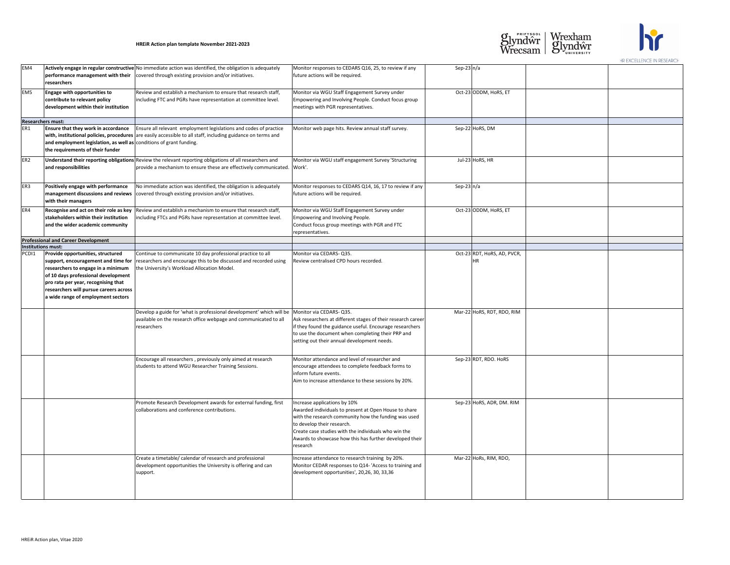| EM4                                    | researchers                                                                                                                                                                                                                            | <b>Actively engage in regular constructive</b> No immediate action was identified, the obligation is adequately<br>$performation$ performance management with their $ covered$ through existing provision and/or initiatives. | Monitor responses to CEDARS Q16, 25, to review if any<br>future actions will be required.                                                                                                                                                                                                                  | Sep-23 $n/a$ |                               |
|----------------------------------------|----------------------------------------------------------------------------------------------------------------------------------------------------------------------------------------------------------------------------------------|-------------------------------------------------------------------------------------------------------------------------------------------------------------------------------------------------------------------------------|------------------------------------------------------------------------------------------------------------------------------------------------------------------------------------------------------------------------------------------------------------------------------------------------------------|--------------|-------------------------------|
| EM <sub>5</sub>                        | <b>Engage with opportunities to</b><br>contribute to relevant policy<br>development within their institution                                                                                                                           | Review and establish a mechanism to ensure that research staff,<br>including FTC and PGRs have representation at committee level.                                                                                             | Monitor via WGU Staff Engagement Survey under<br>Empowering and Involving People. Conduct focus group<br>meetings with PGR representatives.                                                                                                                                                                |              | Oct-23 ODDM, Ho               |
| <b>Researchers must:</b><br>ER1        | <b>Ensure that they work in accordance</b><br>and employment legislation, as well as conditions of grant funding.<br>the requirements of their funder                                                                                  | Ensure all relevant employment legislations and codes of practice<br>with, institutional policies, procedures are easily accessible to all staff, including guidance on terms and                                             | Monitor web page hits. Review annual staff survey.                                                                                                                                                                                                                                                         |              | Sep-22 HoRS, DM               |
| ER <sub>2</sub>                        | and responsibilities                                                                                                                                                                                                                   | Understand their reporting obligations Review the relevant reporting obligations of all researchers and<br>provide a mechanism to ensure these are effectively communicated.                                                  | Monitor via WGU staff engagement Survey 'Structuring<br>Work'.                                                                                                                                                                                                                                             |              | Jul-23 HoRS, HR               |
| ER <sub>3</sub>                        | Positively engage with performance<br>management discussions and reviews<br>with their managers                                                                                                                                        | No immediate action was identified, the obligation is adequately<br>covered through existing provision and/or initiatives.                                                                                                    | Monitor responses to CEDARS Q14, 16, 17 to review if any<br>future actions will be required.                                                                                                                                                                                                               | Sep-23 $n/a$ |                               |
| ER4                                    | Recognise and act on their role as key<br>stakeholders within their institution<br>and the wider academic community                                                                                                                    | Review and establish a mechanism to ensure that research staff,<br>including FTCs and PGRs have representation at committee level.                                                                                            | Monitor via WGU Staff Engagement Survey under<br>Empowering and Involving People.<br>Conduct focus group meetings with PGR and FTC<br>representatives.                                                                                                                                                     |              | Oct-23 ODDM, Ho               |
|                                        | <b>Professional and Career Development</b>                                                                                                                                                                                             |                                                                                                                                                                                                                               |                                                                                                                                                                                                                                                                                                            |              |                               |
| Institutions must:<br>PCD <sub>1</sub> | Provide opportunities, structured<br>support, encouragement and time for<br>of 10 days professional development<br>pro rata per year, recognising that<br>researchers will pursue careers across<br>a wide range of employment sectors | Continue to communicate 10 day professional practice to all<br>researchers and encourage this to be discussed and recorded using<br> researchers to engage in a minimum   the University's Workload Allocation Model.         | Monitor via CEDARS-Q35.<br>Review centralised CPD hours recorded.                                                                                                                                                                                                                                          |              | Oct-23 RDT, HoRS<br><b>HR</b> |
|                                        |                                                                                                                                                                                                                                        | Develop a guide for 'what is professional development' which will be<br>available on the research office webpage and communicated to all<br>researchers                                                                       | Monitor via CEDARS-Q35.<br>Ask researchers at different stages of their research career<br>if they found the guidance useful. Encourage researchers<br>to use the document when completing their PRP and<br>setting out their annual development needs.                                                    |              | Mar-22 HoRS, RDT              |
|                                        |                                                                                                                                                                                                                                        | Encourage all researchers, previously only aimed at research<br>students to attend WGU Researcher Training Sessions.                                                                                                          | Monitor attendance and level of researcher and<br>encourage attendees to complete feedback forms to<br>inform future events.<br>Aim to increase attendance to these sessions by 20%.                                                                                                                       |              | Sep-23 RDT, RDO               |
|                                        |                                                                                                                                                                                                                                        | Promote Research Development awards for external funding, first<br>collaborations and conference contributions.                                                                                                               | Increase applications by 10%<br>Awarded individuals to present at Open House to share<br>with the research community how the funding was used<br>to develop their research.<br>Create case studies with the individuals who win the<br>Awards to showcase how this has further developed their<br>research |              | Sep-23 HoRS, ADI              |
|                                        |                                                                                                                                                                                                                                        | Create a timetable/ calendar of research and professional<br>development opportunities the University is offering and can<br>support.                                                                                         | Increase attendance to research training by 20%.<br>Monitor CEDAR responses to Q14- 'Access to training and<br>development opportunities', 20,26, 30, 33,36                                                                                                                                                |              | Mar-22 HoRs, RIN              |

| ny                   | Sep-23 $n/a$ |                                   |  |
|----------------------|--------------|-----------------------------------|--|
| oup                  |              | Oct-23 ODDM, HoRS, ET             |  |
|                      |              |                                   |  |
|                      |              | Sep-22 HoRS, DM                   |  |
| ing                  |              | Jul-23 HoRS, HR                   |  |
| if any               | Sep-23 $n/a$ |                                   |  |
|                      |              | Oct-23 ODDM, HoRS, ET             |  |
|                      |              |                                   |  |
|                      |              | Oct-23 RDT, HoRS, AD, PVCR,<br>HR |  |
| career<br>hers:<br>ł |              | Mar-22 HoRS, RDT, RDO, RIM        |  |
| ó.                   |              | Sep-23 RDT, RDO. HoRS             |  |
| are<br>ısed<br>their |              | Sep-23 HoRS, ADR, DM. RIM         |  |
| g and                |              | Mar-22 HoRs, RIM, RDO,            |  |





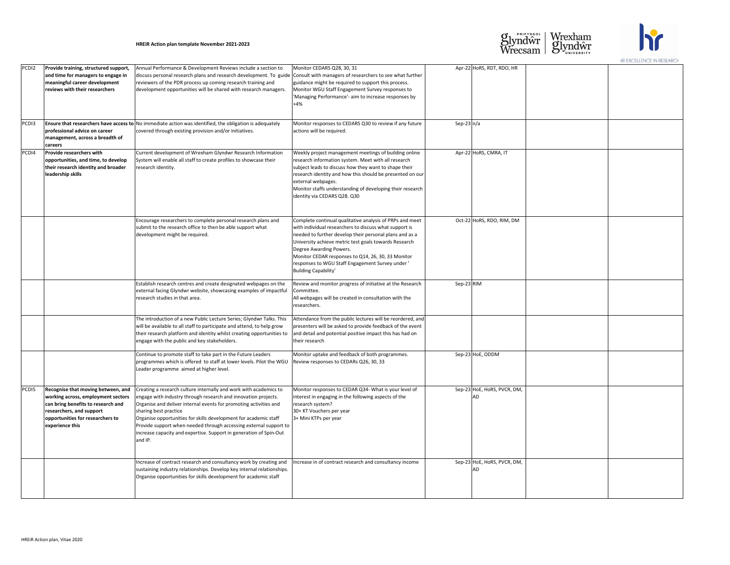| PCD <sub>12</sub> | Provide training, structured support,<br>and time for managers to engage in<br>meaningful career development<br>reviews with their researchers                                                           | Annual Performance & Development Reviews include a section to<br>discuss personal research plans and research development. To guide Consult with managers of researchers to see what further<br>reviewers of the PDR process up coming research training and<br>development opportunities will be shared with research managers.                                                                                                                            | Monitor CEDARS Q28, 30, 31<br>guidance might be required to support this process.<br>Monitor WGU Staff Engagement Survey responses to<br>'Managing Performance'- aim to increase responses by<br>$+4%$                                                                                                                                                                                                    |              | Apr-22 HoRS, RDT, RDO, HR                |
|-------------------|----------------------------------------------------------------------------------------------------------------------------------------------------------------------------------------------------------|-------------------------------------------------------------------------------------------------------------------------------------------------------------------------------------------------------------------------------------------------------------------------------------------------------------------------------------------------------------------------------------------------------------------------------------------------------------|-----------------------------------------------------------------------------------------------------------------------------------------------------------------------------------------------------------------------------------------------------------------------------------------------------------------------------------------------------------------------------------------------------------|--------------|------------------------------------------|
| PCD <sub>13</sub> | professional advice on career<br>management, across a breadth of<br><b>careers</b>                                                                                                                       | <b>Ensure that researchers have access to</b> No immediate action was identified, the obligation is adequately<br>covered through existing provision and/or initiatives.                                                                                                                                                                                                                                                                                    | Monitor responses to CEDARS Q30 to review if any future<br>actions will be required.                                                                                                                                                                                                                                                                                                                      | Sep-23 $n/a$ |                                          |
| PCD <sub>14</sub> | <b>Provide researchers with</b><br>opportunities, and time, to develop<br>their research identity and broader<br>leadership skills                                                                       | Current development of Wrexham Glyndwr Research Information<br>System will enable all staff to create profiles to showcase their<br>research identity.                                                                                                                                                                                                                                                                                                      | Weekly project management meetings of building online<br>research information system. Meet with all research<br>subject leads to discuss how they want to shape their<br>research identity and how this should be presented on our<br>external webpages.<br>Monitor staffs understanding of developing their research<br>identity via CEDARS Q28. Q30                                                     |              | Apr-22 HoRS, CMRA, IT                    |
|                   |                                                                                                                                                                                                          | Encourage researchers to complete personal research plans and<br>submit to the research office to then be able support what<br>development might be required.                                                                                                                                                                                                                                                                                               | Complete continual qualitative analysis of PRPs and meet<br>with individual researchers to discuss what support is<br>needed to further develop their personal plans and as a<br>University achieve metric test goals towards Research<br>Degree Awarding Powers.<br>Monitor CEDAR responses to Q14, 26, 30, 33 Monitor<br>responses to WGU Staff Engagement Survey under'<br><b>Building Capability'</b> |              | Oct-22 HoRS, RDO, RIM, DM                |
|                   |                                                                                                                                                                                                          | Establish research centres and create designated webpages on the<br>external facing Glyndwr website, showcasing examples of impactful<br>research studies in that area.                                                                                                                                                                                                                                                                                     | Review and monitor progress of initiative at the Research<br>Committee.<br>All webpages will be created in consultation with the<br>researchers.                                                                                                                                                                                                                                                          | Sep-23 RIM   |                                          |
|                   |                                                                                                                                                                                                          | The introduction of a new Public Lecture Series; Glyndwr Talks. This<br>will be available to all staff to participate and attend, to help grow<br>their research platform and identity whilst creating opportunities to<br>engage with the public and key stakeholders.                                                                                                                                                                                     | Attendance from the public lectures will be reordered, and<br>presenters will be asked to provide feedback of the event<br>and detail and potential positive impact this has had on<br>their research                                                                                                                                                                                                     |              |                                          |
|                   |                                                                                                                                                                                                          | Continue to promote staff to take part in the Future Leaders<br>programmes which is offered to staff at lower levels. Pilot the WGU<br>Leader programme aimed at higher level.                                                                                                                                                                                                                                                                              | Monitor uptake and feedback of both programmes.<br>Review responses to CEDARs Q26, 30, 33                                                                                                                                                                                                                                                                                                                 |              | Sep-23 HoE, ODDM                         |
| PCD <sub>15</sub> | <b>Recognise that moving between, and</b><br>working across, employment sectors<br>can bring benefits to research and<br>researchers, and support<br>opportunities for researchers to<br>experience this | Creating a research culture internally and work with academics to<br>engage with industry through research and innovation projects.<br>Organise and deliver internal events for promoting activities and<br>sharing best practice<br>Organise opportunities for skills development for academic staff<br>Provide support when needed through accessing external support to<br>increase capacity and expertise. Support in generation of Spin-Out<br>and IP. | Monitor responses to CEDAR Q34- What is your level of<br>interest in engaging in the following aspects of the<br>research system?<br>30+ KT Vouchers per year<br>3+ Mini KTPs per year                                                                                                                                                                                                                    |              | Sep-23 HoE, HoRS, PVCR, DM,<br><b>AD</b> |
|                   |                                                                                                                                                                                                          | Increase of contract research and consultancy work by creating and<br>sustaining industry relationships. Develop key internal relationships.<br>Organise opportunities for skills development for academic staff                                                                                                                                                                                                                                            | Increase in of contract research and consultancy income                                                                                                                                                                                                                                                                                                                                                   |              | Sep-23 HoE, HoRS, PVCR, DM,<br>IAD       |

|                           |              | Apr-22 HoRS, RDT, RDO, HR   |  |
|---------------------------|--------------|-----------------------------|--|
| her:                      |              |                             |  |
|                           |              |                             |  |
| ľ                         |              |                             |  |
|                           |              |                             |  |
|                           |              |                             |  |
| ure                       | Sep-23 $n/a$ |                             |  |
|                           |              |                             |  |
|                           |              |                             |  |
| ne                        |              | Apr-22 HoRS, CMRA, IT       |  |
|                           |              |                             |  |
| our                       |              |                             |  |
| arch                      |              |                             |  |
|                           |              |                             |  |
|                           |              |                             |  |
| eet                       |              | Oct-22 HoRS, RDO, RIM, DM   |  |
|                           |              |                             |  |
| a                         |              |                             |  |
|                           |              |                             |  |
|                           |              |                             |  |
|                           |              |                             |  |
|                           |              |                             |  |
| rch                       | Sep-23 RIM   |                             |  |
|                           |              |                             |  |
|                           |              |                             |  |
| and                       |              |                             |  |
| ent                       |              |                             |  |
| n                         |              |                             |  |
|                           |              |                             |  |
|                           |              | Sep-23 HoE, ODDM            |  |
|                           |              |                             |  |
|                           |              |                             |  |
| $\overline{\mathfrak{h}}$ |              | Sep-23 HoE, HoRS, PVCR, DM, |  |
|                           |              | AD                          |  |
|                           |              |                             |  |
|                           |              |                             |  |
|                           |              |                             |  |
|                           |              |                             |  |
|                           |              |                             |  |
| e                         |              | Sep-23 HoE, HoRS, PVCR, DM, |  |
|                           |              | <b>AD</b>                   |  |
|                           |              |                             |  |
|                           |              |                             |  |
|                           |              |                             |  |





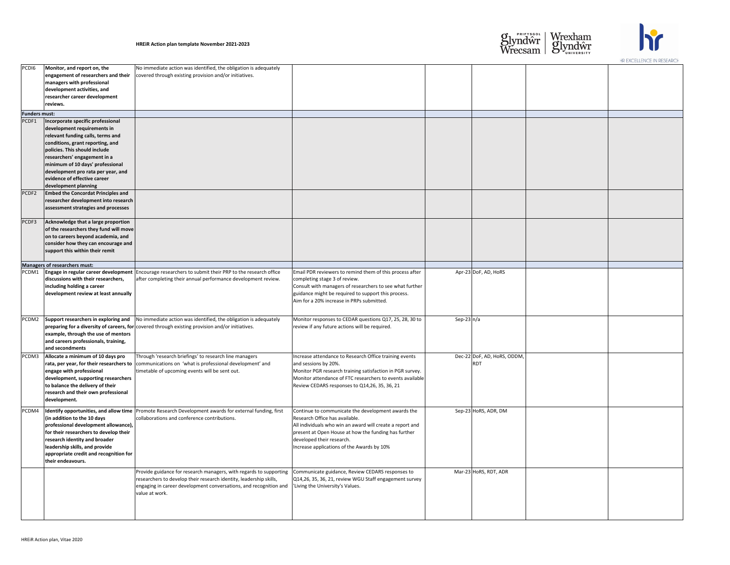| PCD <sub>16</sub>    | Monitor, and report on, the<br>engagement of researchers and their<br>managers with professional<br>development activities, and                                                                                                                                                           | No immediate action was identified, the obligation is adequately<br>covered through existing provision and/or initiatives.                                                                                                      |                                                                                                                                                                                                                                                                                      |
|----------------------|-------------------------------------------------------------------------------------------------------------------------------------------------------------------------------------------------------------------------------------------------------------------------------------------|---------------------------------------------------------------------------------------------------------------------------------------------------------------------------------------------------------------------------------|--------------------------------------------------------------------------------------------------------------------------------------------------------------------------------------------------------------------------------------------------------------------------------------|
|                      | researcher career development<br>reviews.                                                                                                                                                                                                                                                 |                                                                                                                                                                                                                                 |                                                                                                                                                                                                                                                                                      |
| <b>Funders must:</b> |                                                                                                                                                                                                                                                                                           |                                                                                                                                                                                                                                 |                                                                                                                                                                                                                                                                                      |
| PCDF1                | Incorporate specific professional<br>development requirements in<br>relevant funding calls, terms and<br>conditions, grant reporting, and<br>policies. This should include<br>researchers' engagement in a                                                                                |                                                                                                                                                                                                                                 |                                                                                                                                                                                                                                                                                      |
|                      | minimum of 10 days' professional<br>development pro rata per year, and<br>evidence of effective career<br>development planning                                                                                                                                                            |                                                                                                                                                                                                                                 |                                                                                                                                                                                                                                                                                      |
| PCDF2                | <b>Embed the Concordat Principles and</b><br>researcher development into research<br>assessment strategies and processes                                                                                                                                                                  |                                                                                                                                                                                                                                 |                                                                                                                                                                                                                                                                                      |
| PCDF3                | Acknowledge that a large proportion<br>of the researchers they fund will move<br>on to careers beyond academia, and<br>consider how they can encourage and<br>support this within their remit                                                                                             |                                                                                                                                                                                                                                 |                                                                                                                                                                                                                                                                                      |
|                      | <b>Managers of researchers must:</b>                                                                                                                                                                                                                                                      |                                                                                                                                                                                                                                 |                                                                                                                                                                                                                                                                                      |
| PCDM1                | discussions with their researchers,<br>including holding a career<br>development review at least annually                                                                                                                                                                                 | Engage in regular career development   Encourage researchers to submit their PRP to the research office<br>after completing their annual performance development review.                                                        | Email PDR reviewers to remind them of this process after<br>completing stage 3 of review.<br>Consult with managers of researchers to see what further<br>guidance might be required to support this process.<br>Aim for a 20% increase in PRPs submitted.                            |
| PCDM2                | Support researchers in exploring and<br>example, through the use of mentors<br>and careers professionals, training,<br>and secondments                                                                                                                                                    | No immediate action was identified, the obligation is adequately<br>preparing for a diversity of careers, for covered through existing provision and/or initiatives.                                                            | Monitor responses to CEDAR questions Q17, 25, 28, 30 to<br>review if any future actions will be required.                                                                                                                                                                            |
| PCDM3                | Allocate a minimum of 10 days pro<br>rata, per year, for their researchers to<br>engage with professional<br>development, supporting researchers<br>to balance the delivery of their<br>research and their own professional<br>development.                                               | Through 'research briefings' to research line managers<br>communications on 'what is professional development' and<br>timetable of upcoming events will be sent out.                                                            | Increase attendance to Research Office training events<br>and sessions by 20%.<br>Monitor PGR research training satisfaction in PGR survey.<br>Monitor attendance of FTC researchers to events available<br>Review CEDARS responses to Q14,26, 35, 36, 21                            |
| PCDM4                | Identify opportunities, and allow time<br>(in addition to the 10 days<br>professional development allowance),<br>for their researchers to develop their<br>research identity and broader<br>leadership skills, and provide<br>appropriate credit and recognition for<br>their endeavours. | Promote Research Development awards for external funding, first<br>collaborations and conference contributions.                                                                                                                 | Continue to communicate the development awards the<br>Research Office has available.<br>All individuals who win an award will create a report and<br>present at Open House at how the funding has further<br>developed their research.<br>Increase applications of the Awards by 10% |
|                      |                                                                                                                                                                                                                                                                                           | Provide guidance for research managers, with regards to supporting<br>researchers to develop their research identity, leadership skills,<br>engaging in career development conversations, and recognition and<br>value at work. | Communicate guidance, Review CEDARS responses to<br>Q14,26, 35, 36, 21, review WGU Staff engagement survey<br>'Living the University's Values.                                                                                                                                       |

| er:              |              | Apr-23 DoF, AD, HoRS                      |  |
|------------------|--------------|-------------------------------------------|--|
| her              |              |                                           |  |
| $\mathsf{to}$    | Sep-23 $n/a$ |                                           |  |
| ey.<br>able      |              | Dec-22 DoF, AD, HoRS, ODDM,<br><b>RDT</b> |  |
| $\epsilon$<br>ıd |              | Sep-23 HoRS, ADR, DM                      |  |
| ey               |              | Mar-23 HoRS, RDT, ADR                     |  |